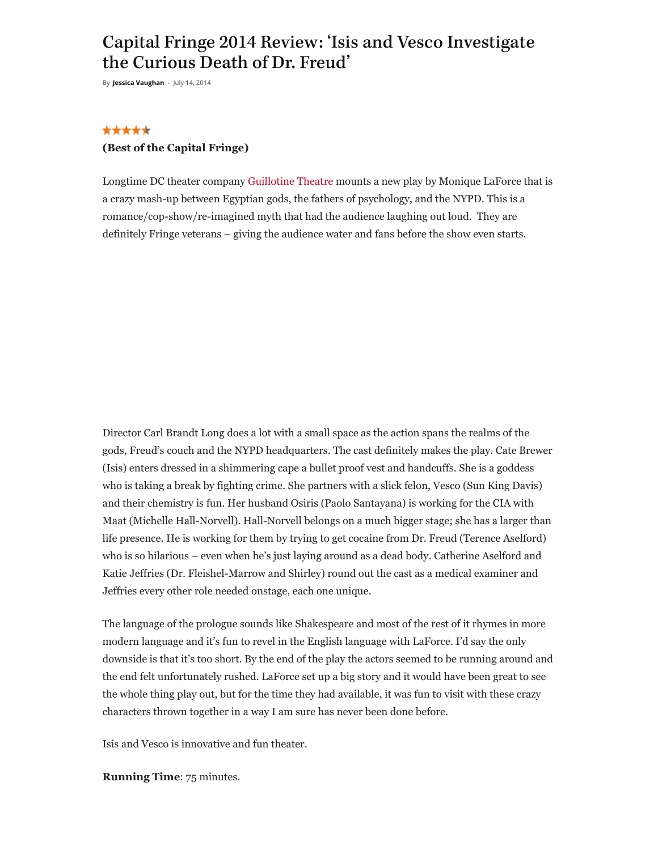# Capital Fringe 2014 Review: 'Isis and Vesco Investigate the Curious Death of Dr. Freud'

By **Jessica [Vaughan](https://dcmetrotheaterarts.com/author/jess-vaughan/)** - July 14, 2014

#### \*\*\*\*\*

#### **(Best of the Capital Fringe)**

Longtime DC theater company [Guillotine Theatre](http://www.georgetowntheatre.org/) mounts a new play by Monique LaForce that is a crazy mash-up between Egyptian gods, the fathers of psychology, and the NYPD. This is a romance/cop-show/re-imagined myth that had the audience laughing out loud. They are definitely Fringe veterans – giving the audience water and fans before the show even starts.

Director Carl Brandt Long does a lot with a small space as the action spans the realms of the gods, Freud's couch and the NYPD headquarters. The cast definitely makes the play. Cate Brewer (Isis) enters dressed in a shimmering cape a bullet proof vest and handcuffs. She is a goddess who is taking a break by fighting crime. She partners with a slick felon, Vesco (Sun King Davis) and their chemistry is fun. Her husband Osiris (Paolo Santayana) is working for the CIA with Maat (Michelle Hall-Norvell). Hall-Norvell belongs on a much bigger stage; she has a larger than life presence. He is working for them by trying to get cocaine from Dr. Freud (Terence Aselford) who is so hilarious – even when he's just laying around as a dead body. Catherine Aselford and Katie Jeffries (Dr. Fleishel-Marrow and Shirley) round out the cast as a medical examiner and Jeffries every other role needed onstage, each one unique.

The language of the prologue sounds like Shakespeare and most of the rest of it rhymes in more modern language and it's fun to revel in the English language with LaForce. I'd say the only downside is that it's too short. By the end of the play the actors seemed to be running around and the end felt unfortunately rushed. LaForce set up a big story and it would have been great to see the whole thing play out, but for the time they had available, it was fun to visit with these crazy characters thrown together in a way I am sure has never been done before.

Isis and Vesco is innovative and fun theater.

**Running Time**: 75 minutes.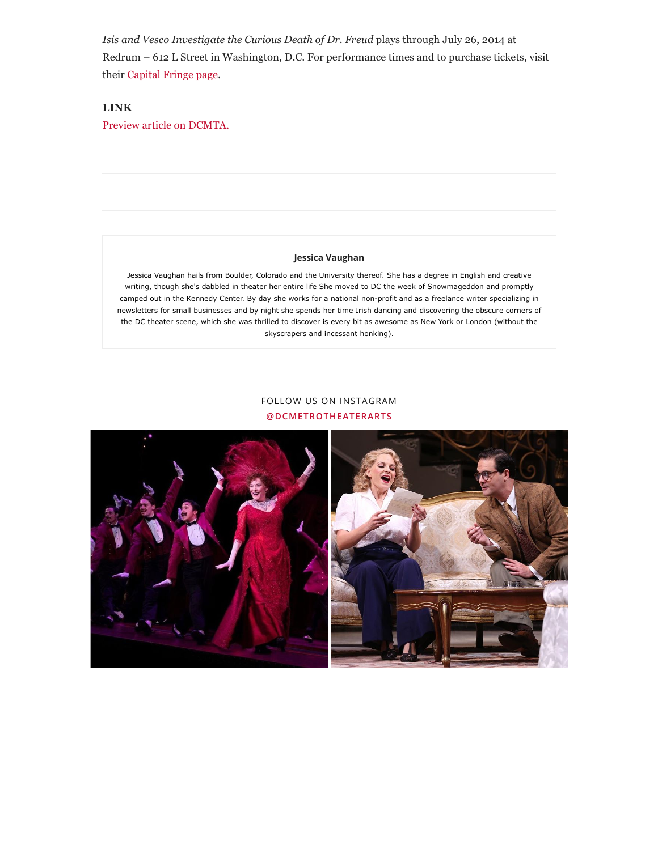*Isis and Vesco Investigate the Curious Death of Dr. Freud* plays through July 26, 2014 at Redrum – 612 L Street in Washington, D.C. For performance times and to purchase tickets, visit their Capital [Fringe page.](https://www.capitalfringe.org/festival-2014/shows/371-isis-vesco-investigate-the-curious-death-of-dr-freud)

### **LINK**

[Preview article on DCMTA.](https://dcmetrotheaterarts.com/2014/06/29/capital-fringe-2014-preview-isis-vesco-investigate-curious-death-dr-freud-catherine-aselford/)

#### **[Jessica Vaughan](https://dcmetrotheaterarts.com/author/jess-vaughan/)**

Jessica Vaughan hails from Boulder, Colorado and the University thereof. She has a degree in English and creative writing, though she's dabbled in theater her entire life She moved to DC the week of Snowmageddon and promptly camped out in the Kennedy Center. By day she works for a national non-profit and as a freelance writer specializing in newsletters for small businesses and by night she spends her time Irish dancing and discovering the obscure corners of the DC theater scene, which she was thrilled to discover is every bit as awesome as New York or London (without the skyscrapers and incessant honking).

## FOLLOW US ON INSTAGRAM **[@DCMETROTHEATERARTS](https://www.instagram.com/dcmetrotheaterarts)**